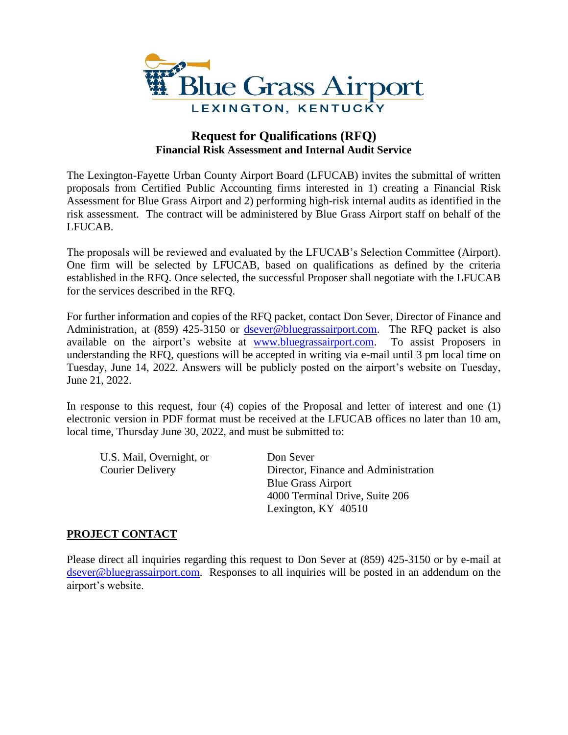

# **Request for Qualifications (RFQ) Financial Risk Assessment and Internal Audit Service**

The Lexington-Fayette Urban County Airport Board (LFUCAB) invites the submittal of written proposals from Certified Public Accounting firms interested in 1) creating a Financial Risk Assessment for Blue Grass Airport and 2) performing high-risk internal audits as identified in the risk assessment. The contract will be administered by Blue Grass Airport staff on behalf of the LFUCAB.

The proposals will be reviewed and evaluated by the LFUCAB's Selection Committee (Airport). One firm will be selected by LFUCAB, based on qualifications as defined by the criteria established in the RFQ. Once selected, the successful Proposer shall negotiate with the LFUCAB for the services described in the RFQ.

For further information and copies of the RFQ packet, contact Don Sever, Director of Finance and Administration, at (859) 425-3150 or [dsever@bluegrassairport.com.](mailto:dsever@bluegrassairport.com) The RFQ packet is also available on the airport's website at [www.bluegrassairport.com.](http://www.bluegrassairport.com/) To assist Proposers in understanding the RFQ, questions will be accepted in writing via e-mail until 3 pm local time on Tuesday, June 14, 2022. Answers will be publicly posted on the airport's website on Tuesday, June 21, 2022.

In response to this request, four (4) copies of the Proposal and letter of interest and one (1) electronic version in PDF format must be received at the LFUCAB offices no later than 10 am, local time, Thursday June 30, 2022, and must be submitted to:

U.S. Mail, Overnight, or Don Sever

Courier Delivery Director, Finance and Administration Blue Grass Airport 4000 Terminal Drive, Suite 206 Lexington, KY 40510

#### **PROJECT CONTACT**

Please direct all inquiries regarding this request to Don Sever at (859) 425-3150 or by e-mail at [dsever@bluegrassairport.com.](mailto:dsever@bluegrassairport.com) Responses to all inquiries will be posted in an addendum on the airport's website.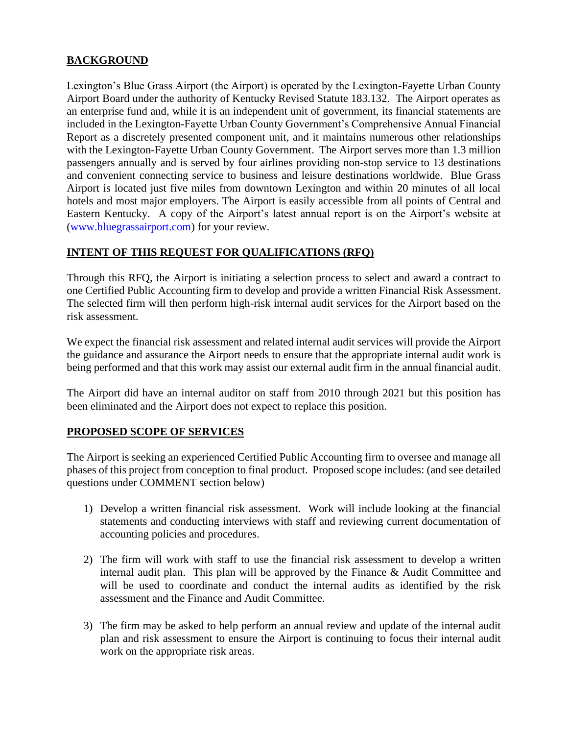## **BACKGROUND**

Lexington's Blue Grass Airport (the Airport) is operated by the Lexington-Fayette Urban County Airport Board under the authority of Kentucky Revised Statute 183.132. The Airport operates as an enterprise fund and, while it is an independent unit of government, its financial statements are included in the Lexington-Fayette Urban County Government's Comprehensive Annual Financial Report as a discretely presented component unit, and it maintains numerous other relationships with the Lexington-Fayette Urban County Government. The Airport serves more than 1.3 million passengers annually and is served by four airlines providing non-stop service to 13 destinations and convenient connecting service to business and leisure destinations worldwide. Blue Grass Airport is located just five miles from downtown Lexington and within 20 minutes of all local hotels and most major employers. The Airport is easily accessible from all points of Central and Eastern Kentucky. A copy of the Airport's latest annual report is on the Airport's website at [\(www.bluegrassairport.com\)](http://www.bluegrassairport.com/) for your review.

## **INTENT OF THIS REQUEST FOR QUALIFICATIONS (RFQ)**

Through this RFQ, the Airport is initiating a selection process to select and award a contract to one Certified Public Accounting firm to develop and provide a written Financial Risk Assessment. The selected firm will then perform high-risk internal audit services for the Airport based on the risk assessment.

We expect the financial risk assessment and related internal audit services will provide the Airport the guidance and assurance the Airport needs to ensure that the appropriate internal audit work is being performed and that this work may assist our external audit firm in the annual financial audit.

The Airport did have an internal auditor on staff from 2010 through 2021 but this position has been eliminated and the Airport does not expect to replace this position.

### **PROPOSED SCOPE OF SERVICES**

The Airport is seeking an experienced Certified Public Accounting firm to oversee and manage all phases of this project from conception to final product. Proposed scope includes: (and see detailed questions under COMMENT section below)

- 1) Develop a written financial risk assessment. Work will include looking at the financial statements and conducting interviews with staff and reviewing current documentation of accounting policies and procedures.
- 2) The firm will work with staff to use the financial risk assessment to develop a written internal audit plan. This plan will be approved by the Finance & Audit Committee and will be used to coordinate and conduct the internal audits as identified by the risk assessment and the Finance and Audit Committee.
- 3) The firm may be asked to help perform an annual review and update of the internal audit plan and risk assessment to ensure the Airport is continuing to focus their internal audit work on the appropriate risk areas.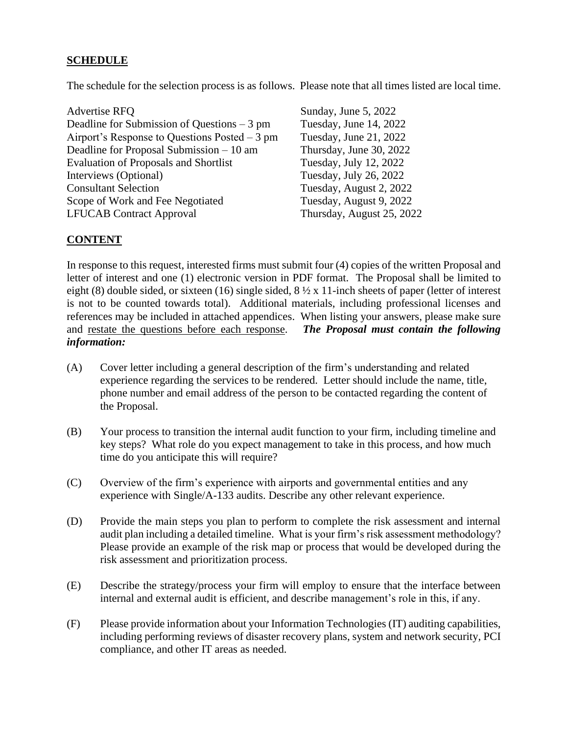### **SCHEDULE**

The schedule for the selection process is as follows. Please note that all times listed are local time.

| <b>Advertise RFO</b>                           |
|------------------------------------------------|
| Deadline for Submission of Questions $-3$ pm   |
| Airport's Response to Questions Posted $-3$ pm |
| Deadline for Proposal Submission $-10$ am      |
| <b>Evaluation of Proposals and Shortlist</b>   |
| Interviews (Optional)                          |
| <b>Consultant Selection</b>                    |
| Scope of Work and Fee Negotiated               |
| <b>LFUCAB Contract Approval</b>                |

Sunday, June 5, 2022 Tuesday, June 14, 2022 Tuesday, June 21, 2022 Thursday, June 30, 2022 Tuesday, July 12, 2022 Tuesday, July 26, 2022 Tuesday, August 2, 2022 Tuesday, August 9, 2022 Thursday, August 25, 2022

#### **CONTENT**

In response to this request, interested firms must submit four (4) copies of the written Proposal and letter of interest and one (1) electronic version in PDF format. The Proposal shall be limited to eight (8) double sided, or sixteen (16) single sided, 8 ½ x 11-inch sheets of paper (letter of interest is not to be counted towards total). Additional materials, including professional licenses and references may be included in attached appendices. When listing your answers, please make sure and restate the questions before each response. *The Proposal must contain the following information:*

- (A) Cover letter including a general description of the firm's understanding and related experience regarding the services to be rendered. Letter should include the name, title, phone number and email address of the person to be contacted regarding the content of the Proposal.
- (B) Your process to transition the internal audit function to your firm, including timeline and key steps? What role do you expect management to take in this process, and how much time do you anticipate this will require?
- (C) Overview of the firm's experience with airports and governmental entities and any experience with Single/A-133 audits. Describe any other relevant experience.
- (D) Provide the main steps you plan to perform to complete the risk assessment and internal audit plan including a detailed timeline. What is your firm's risk assessment methodology? Please provide an example of the risk map or process that would be developed during the risk assessment and prioritization process.
- (E) Describe the strategy/process your firm will employ to ensure that the interface between internal and external audit is efficient, and describe management's role in this, if any.
- (F) Please provide information about your Information Technologies (IT) auditing capabilities, including performing reviews of disaster recovery plans, system and network security, PCI compliance, and other IT areas as needed.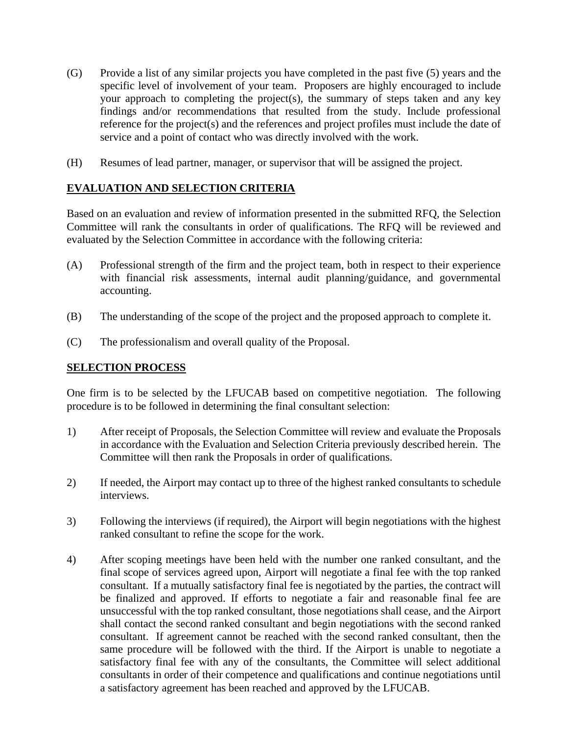- (G) Provide a list of any similar projects you have completed in the past five (5) years and the specific level of involvement of your team. Proposers are highly encouraged to include your approach to completing the project(s), the summary of steps taken and any key findings and/or recommendations that resulted from the study. Include professional reference for the project(s) and the references and project profiles must include the date of service and a point of contact who was directly involved with the work.
- (H) Resumes of lead partner, manager, or supervisor that will be assigned the project.

### **EVALUATION AND SELECTION CRITERIA**

Based on an evaluation and review of information presented in the submitted RFQ, the Selection Committee will rank the consultants in order of qualifications. The RFQ will be reviewed and evaluated by the Selection Committee in accordance with the following criteria:

- (A) Professional strength of the firm and the project team, both in respect to their experience with financial risk assessments, internal audit planning/guidance, and governmental accounting.
- (B) The understanding of the scope of the project and the proposed approach to complete it.
- (C) The professionalism and overall quality of the Proposal.

### **SELECTION PROCESS**

One firm is to be selected by the LFUCAB based on competitive negotiation. The following procedure is to be followed in determining the final consultant selection:

- 1) After receipt of Proposals, the Selection Committee will review and evaluate the Proposals in accordance with the Evaluation and Selection Criteria previously described herein. The Committee will then rank the Proposals in order of qualifications.
- 2) If needed, the Airport may contact up to three of the highest ranked consultants to schedule interviews.
- 3) Following the interviews (if required), the Airport will begin negotiations with the highest ranked consultant to refine the scope for the work.
- 4) After scoping meetings have been held with the number one ranked consultant, and the final scope of services agreed upon, Airport will negotiate a final fee with the top ranked consultant. If a mutually satisfactory final fee is negotiated by the parties, the contract will be finalized and approved. If efforts to negotiate a fair and reasonable final fee are unsuccessful with the top ranked consultant, those negotiations shall cease, and the Airport shall contact the second ranked consultant and begin negotiations with the second ranked consultant. If agreement cannot be reached with the second ranked consultant, then the same procedure will be followed with the third. If the Airport is unable to negotiate a satisfactory final fee with any of the consultants, the Committee will select additional consultants in order of their competence and qualifications and continue negotiations until a satisfactory agreement has been reached and approved by the LFUCAB.